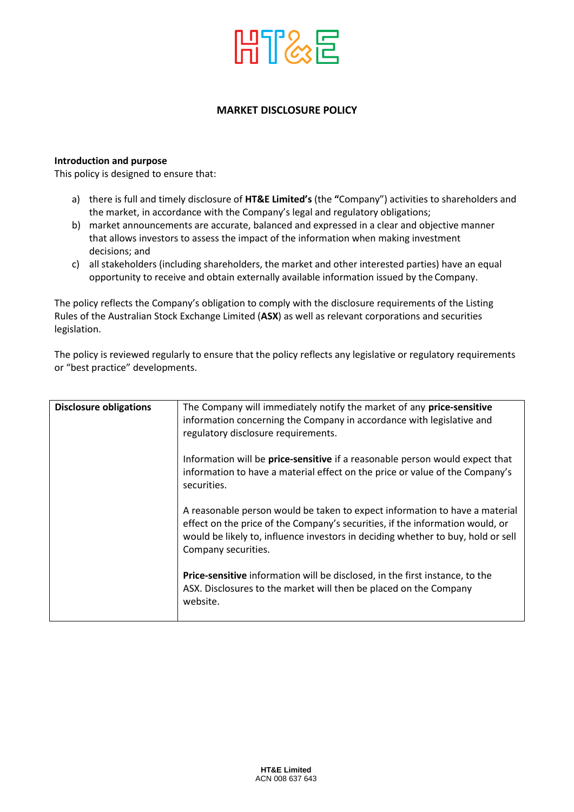

## **MARKET DISCLOSURE POLICY**

## **Introduction and purpose**

This policy is designed to ensure that:

- a) there is full and timely disclosure of **HT&E Limited's** (the **"**Company") activities to shareholders and the market, in accordance with the Company's legal and regulatory obligations;
- b) market announcements are accurate, balanced and expressed in a clear and objective manner that allows investors to assess the impact of the information when making investment decisions; and
- c) all stakeholders (including shareholders, the market and other interested parties) have an equal opportunity to receive and obtain externally available information issued by the Company.

The policy reflects the Company's obligation to comply with the disclosure requirements of the Listing Rules of the Australian Stock Exchange Limited (**ASX**) as well as relevant corporations and securities legislation.

The policy is reviewed regularly to ensure that the policy reflects any legislative or regulatory requirements or "best practice" developments.

| <b>Disclosure obligations</b> | The Company will immediately notify the market of any price-sensitive<br>information concerning the Company in accordance with legislative and<br>regulatory disclosure requirements.                                                                                   |
|-------------------------------|-------------------------------------------------------------------------------------------------------------------------------------------------------------------------------------------------------------------------------------------------------------------------|
|                               | Information will be price-sensitive if a reasonable person would expect that<br>information to have a material effect on the price or value of the Company's<br>securities.                                                                                             |
|                               | A reasonable person would be taken to expect information to have a material<br>effect on the price of the Company's securities, if the information would, or<br>would be likely to, influence investors in deciding whether to buy, hold or sell<br>Company securities. |
|                               | Price-sensitive information will be disclosed, in the first instance, to the<br>ASX. Disclosures to the market will then be placed on the Company<br>website.                                                                                                           |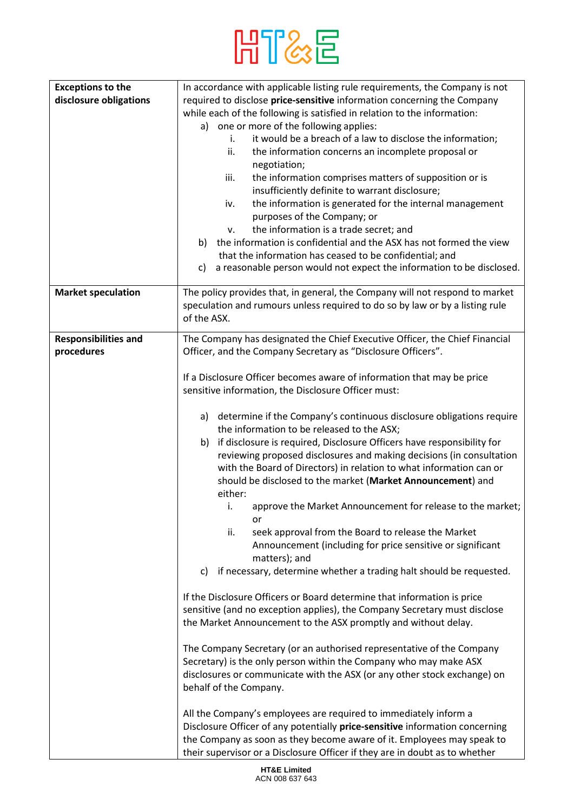

| <b>Exceptions to the</b>    | In accordance with applicable listing rule requirements, the Company is not  |
|-----------------------------|------------------------------------------------------------------------------|
|                             |                                                                              |
| disclosure obligations      | required to disclose price-sensitive information concerning the Company      |
|                             | while each of the following is satisfied in relation to the information:     |
|                             | a) one or more of the following applies:                                     |
|                             | it would be a breach of a law to disclose the information;<br>i.             |
|                             | ii.<br>the information concerns an incomplete proposal or                    |
|                             | negotiation;                                                                 |
|                             | the information comprises matters of supposition or is<br>iii.               |
|                             | insufficiently definite to warrant disclosure;                               |
|                             |                                                                              |
|                             | the information is generated for the internal management<br>iv.              |
|                             | purposes of the Company; or                                                  |
|                             | the information is a trade secret; and<br>v.                                 |
|                             | the information is confidential and the ASX has not formed the view<br>b)    |
|                             | that the information has ceased to be confidential; and                      |
|                             | a reasonable person would not expect the information to be disclosed.<br>c)  |
|                             |                                                                              |
| <b>Market speculation</b>   | The policy provides that, in general, the Company will not respond to market |
|                             | speculation and rumours unless required to do so by law or by a listing rule |
|                             | of the ASX.                                                                  |
| <b>Responsibilities and</b> | The Company has designated the Chief Executive Officer, the Chief Financial  |
| procedures                  | Officer, and the Company Secretary as "Disclosure Officers".                 |
|                             |                                                                              |
|                             | If a Disclosure Officer becomes aware of information that may be price       |
|                             |                                                                              |
|                             | sensitive information, the Disclosure Officer must:                          |
|                             |                                                                              |
|                             | determine if the Company's continuous disclosure obligations require<br>a)   |
|                             | the information to be released to the ASX;                                   |
|                             | if disclosure is required, Disclosure Officers have responsibility for<br>b) |
|                             | reviewing proposed disclosures and making decisions (in consultation         |
|                             | with the Board of Directors) in relation to what information can or          |
|                             | should be disclosed to the market (Market Announcement) and                  |
|                             | either:                                                                      |
|                             | i.<br>approve the Market Announcement for release to the market;             |
|                             | or                                                                           |
|                             | ii.<br>seek approval from the Board to release the Market                    |
|                             | Announcement (including for price sensitive or significant                   |
|                             | matters); and                                                                |
|                             | if necessary, determine whether a trading halt should be requested.<br>C)    |
|                             |                                                                              |
|                             | If the Disclosure Officers or Board determine that information is price      |
|                             | sensitive (and no exception applies), the Company Secretary must disclose    |
|                             | the Market Announcement to the ASX promptly and without delay.               |
|                             |                                                                              |
|                             | The Company Secretary (or an authorised representative of the Company        |
|                             | Secretary) is the only person within the Company who may make ASX            |
|                             |                                                                              |
|                             | disclosures or communicate with the ASX (or any other stock exchange) on     |
|                             | behalf of the Company.                                                       |
|                             |                                                                              |
|                             | All the Company's employees are required to immediately inform a             |
|                             | Disclosure Officer of any potentially price-sensitive information concerning |
|                             | the Company as soon as they become aware of it. Employees may speak to       |
|                             | their supervisor or a Disclosure Officer if they are in doubt as to whether  |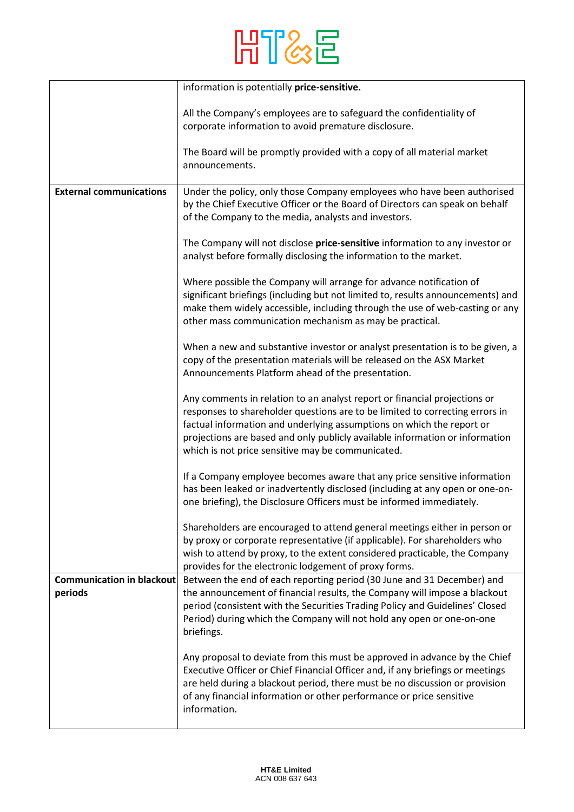

|                                             | information is potentially price-sensitive.                                                                                                                                                                                                                                                                                                                             |
|---------------------------------------------|-------------------------------------------------------------------------------------------------------------------------------------------------------------------------------------------------------------------------------------------------------------------------------------------------------------------------------------------------------------------------|
|                                             | All the Company's employees are to safeguard the confidentiality of<br>corporate information to avoid premature disclosure.                                                                                                                                                                                                                                             |
|                                             | The Board will be promptly provided with a copy of all material market<br>announcements.                                                                                                                                                                                                                                                                                |
| <b>External communications</b>              | Under the policy, only those Company employees who have been authorised<br>by the Chief Executive Officer or the Board of Directors can speak on behalf<br>of the Company to the media, analysts and investors.                                                                                                                                                         |
|                                             | The Company will not disclose price-sensitive information to any investor or<br>analyst before formally disclosing the information to the market.                                                                                                                                                                                                                       |
|                                             | Where possible the Company will arrange for advance notification of<br>significant briefings (including but not limited to, results announcements) and<br>make them widely accessible, including through the use of web-casting or any<br>other mass communication mechanism as may be practical.                                                                       |
|                                             | When a new and substantive investor or analyst presentation is to be given, a<br>copy of the presentation materials will be released on the ASX Market<br>Announcements Platform ahead of the presentation.                                                                                                                                                             |
|                                             | Any comments in relation to an analyst report or financial projections or<br>responses to shareholder questions are to be limited to correcting errors in<br>factual information and underlying assumptions on which the report or<br>projections are based and only publicly available information or information<br>which is not price sensitive may be communicated. |
|                                             | If a Company employee becomes aware that any price sensitive information<br>has been leaked or inadvertently disclosed (including at any open or one-on-<br>one briefing), the Disclosure Officers must be informed immediately.                                                                                                                                        |
|                                             | Shareholders are encouraged to attend general meetings either in person or<br>by proxy or corporate representative (if applicable). For shareholders who<br>wish to attend by proxy, to the extent considered practicable, the Company<br>provides for the electronic lodgement of proxy forms.                                                                         |
| <b>Communication in blackout</b><br>periods | Between the end of each reporting period (30 June and 31 December) and<br>the announcement of financial results, the Company will impose a blackout<br>period (consistent with the Securities Trading Policy and Guidelines' Closed<br>Period) during which the Company will not hold any open or one-on-one<br>briefings.                                              |
|                                             | Any proposal to deviate from this must be approved in advance by the Chief<br>Executive Officer or Chief Financial Officer and, if any briefings or meetings<br>are held during a blackout period, there must be no discussion or provision<br>of any financial information or other performance or price sensitive<br>information.                                     |